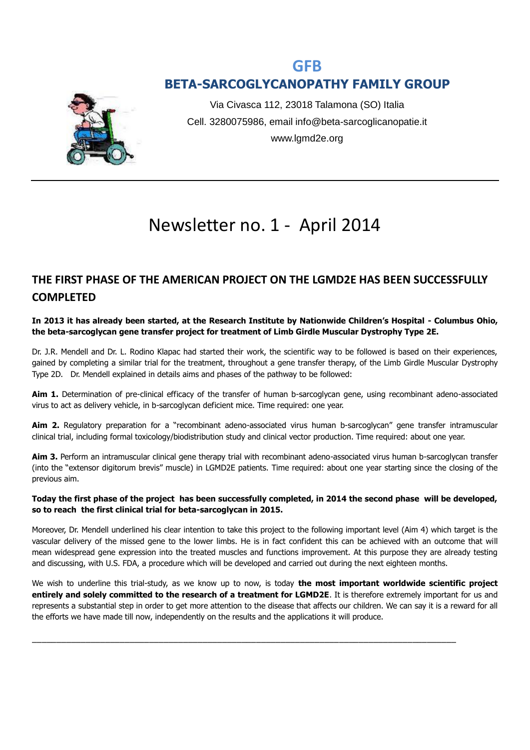## **GFB BETA-SARCOGLYCANOPATHY FAMILY GROUP**



Via Civasca 112, 23018 Talamona (SO) Italia Cell. 3280075986, email info@beta-sarcoglicanopatie.it www.lgmd2e.org

# Newsletter no. 1 - April 2014

## **THE FIRST PHASE OF THE AMERICAN PROJECT ON THE LGMD2E HAS BEEN SUCCESSFULLY COMPLETED**

**In 2013 it has already been started, at the Research Institute by Nationwide Children's Hospital - Columbus Ohio, the beta-sarcoglycan gene transfer project for treatment of Limb Girdle Muscular Dystrophy Type 2E.**

Dr. J.R. Mendell and Dr. L. Rodino Klapac had started their work, the scientific way to be followed is based on their experiences, gained by completing a similar trial for the treatment, throughout a gene transfer therapy, of the Limb Girdle Muscular Dystrophy Type 2D. Dr. Mendell explained in details aims and phases of the pathway to be followed:

**Aim 1.** Determination of pre-clinical efficacy of the transfer of human b-sarcoglycan gene, using recombinant adeno-associated virus to act as delivery vehicle, in b-sarcoglycan deficient mice. Time required: one year.

**Aim 2.** Regulatory preparation for a "recombinant adeno-associated virus human b-sarcoglycan" gene transfer intramuscular clinical trial, including formal toxicology/biodistribution study and clinical vector production. Time required: about one year.

**Aim 3.** Perform an intramuscular clinical gene therapy trial with recombinant adeno-associated virus human b-sarcoglycan transfer (into the "extensor digitorum brevis" muscle) in LGMD2E patients. Time required: about one year starting since the closing of the previous aim.

#### **Today the first phase of the project has been successfully completed, in 2014 the second phase will be developed, so to reach the first clinical trial for beta-sarcoglycan in 2015.**

Moreover, Dr. Mendell underlined his clear intention to take this project to the following important level (Aim 4) which target is the vascular delivery of the missed gene to the lower limbs. He is in fact confident this can be achieved with an outcome that will mean widespread gene expression into the treated muscles and functions improvement. At this purpose they are already testing and discussing, with U.S. FDA, a procedure which will be developed and carried out during the next eighteen months.

We wish to underline this trial-study, as we know up to now, is today **the most important worldwide scientific project entirely and solely committed to the research of a treatment for LGMD2E**. It is therefore extremely important for us and represents a substantial step in order to get more attention to the disease that affects our children. We can say it is a reward for all the efforts we have made till now, independently on the results and the applications it will produce.

\_\_\_\_\_\_\_\_\_\_\_\_\_\_\_\_\_\_\_\_\_\_\_\_\_\_\_\_\_\_\_\_\_\_\_\_\_\_\_\_\_\_\_\_\_\_\_\_\_\_\_\_\_\_\_\_\_\_\_\_\_\_\_\_\_\_\_\_\_\_\_\_\_\_\_\_\_\_\_\_\_\_\_\_\_\_\_